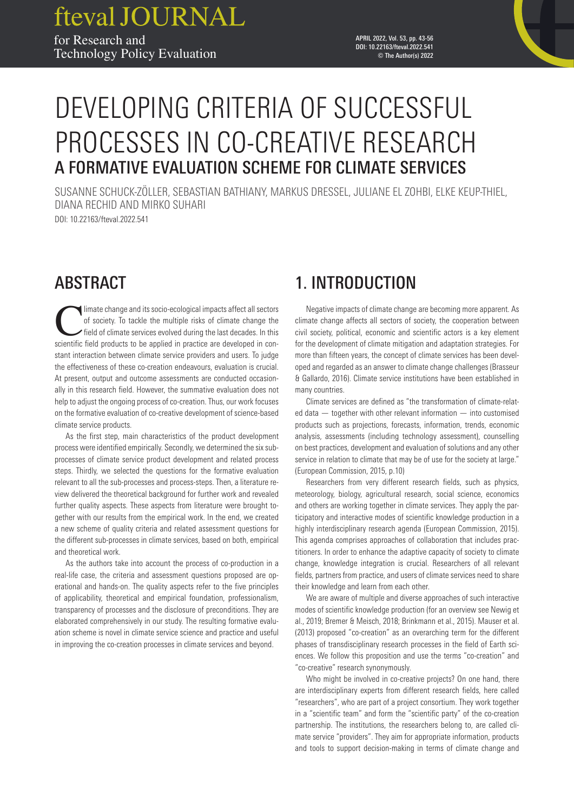# DEVELOPING CRITERIA OF SUCCESSFUL PROCESSES IN CO-CREATIVE RESEARCH A FORMATIVE EVALUATION SCHEME FOR CLIMATE SERVICES

SUSANNE SCHUCK-ZÖLLER, SEBASTIAN BATHIANY, MARKUS DRESSEL, JULIANE EL ZOHBI, ELKE KEUP-THIEL, DIANA RECHID AND MIRKO SUHARI DOI: 10.22163/fteval.2022.541

ABSTRACT

Imate change and its socio-ecological impacts affect all sectors<br>of society. To tackle the multiple risks of climate change the<br>field of climate services evolved during the last decades. In this<br>scientific field products t of society. To tackle the multiple risks of climate change the field of climate services evolved during the last decades. In this scientific field products to be applied in practice are developed in constant interaction between climate service providers and users. To judge the effectiveness of these co-creation endeavours, evaluation is crucial. At present, output and outcome assessments are conducted occasionally in this research field. However, the summative evaluation does not help to adjust the ongoing process of co-creation. Thus, our work focuses on the formative evaluation of co-creative development of science-based climate service products.

As the first step, main characteristics of the product development process were identified empirically. Secondly, we determined the six subprocesses of climate service product development and related process steps. Thirdly, we selected the questions for the formative evaluation relevant to all the sub-processes and process-steps. Then, a literature review delivered the theoretical background for further work and revealed further quality aspects. These aspects from literature were brought together with our results from the empirical work. In the end, we created a new scheme of quality criteria and related assessment questions for the different sub-processes in climate services, based on both, empirical and theoretical work.

As the authors take into account the process of co-production in a real-life case, the criteria and assessment questions proposed are operational and hands-on. The quality aspects refer to the five principles of applicability, theoretical and empirical foundation, professionalism, transparency of processes and the disclosure of preconditions. They are elaborated comprehensively in our study. The resulting formative evaluation scheme is novel in climate service science and practice and useful in improving the co-creation processes in climate services and beyond.

# 1. INTRODUCTION

Negative impacts of climate change are becoming more apparent. As climate change affects all sectors of society, the cooperation between civil society, political, economic and scientific actors is a key element for the development of climate mitigation and adaptation strategies. For more than fifteen years, the concept of climate services has been developed and regarded as an answer to climate change challenges (Brasseur & Gallardo, 2016). Climate service institutions have been established in many countries.

Climate services are defined as "the transformation of climate-related data — together with other relevant information — into customised products such as projections, forecasts, information, trends, economic analysis, assessments (including technology assessment), counselling on best practices, development and evaluation of solutions and any other service in relation to climate that may be of use for the society at large." (European Commission, 2015, p.10)

Researchers from very different research fields, such as physics, meteorology, biology, agricultural research, social science, economics and others are working together in climate services. They apply the participatory and interactive modes of scientific knowledge production in a highly interdisciplinary research agenda (European Commission, 2015). This agenda comprises approaches of collaboration that includes practitioners. In order to enhance the adaptive capacity of society to climate change, knowledge integration is crucial. Researchers of all relevant fields, partners from practice, and users of climate services need to share their knowledge and learn from each other.

We are aware of multiple and diverse approaches of such interactive modes of scientific knowledge production (for an overview see Newig et al., 2019; Bremer & Meisch, 2018; Brinkmann et al., 2015). Mauser et al. (2013) proposed "co-creation" as an overarching term for the different phases of transdisciplinary research processes in the field of Earth sciences. We follow this proposition and use the terms "co-creation" and "co-creative" research [synonymousl](https://dict.leo.org/englisch-deutsch/synonymous)y.

Who might be involved in co-creative projects? On one hand, there are interdisciplinary experts from different research fields, here called "researchers", who are part of a project consortium. They work together in a "scientific team" and form the "scientific party" of the co-creation partnership. The institutions, the researchers belong to, are called climate service "providers". They aim for appropriate information, products and tools to support decision-making in terms of climate change and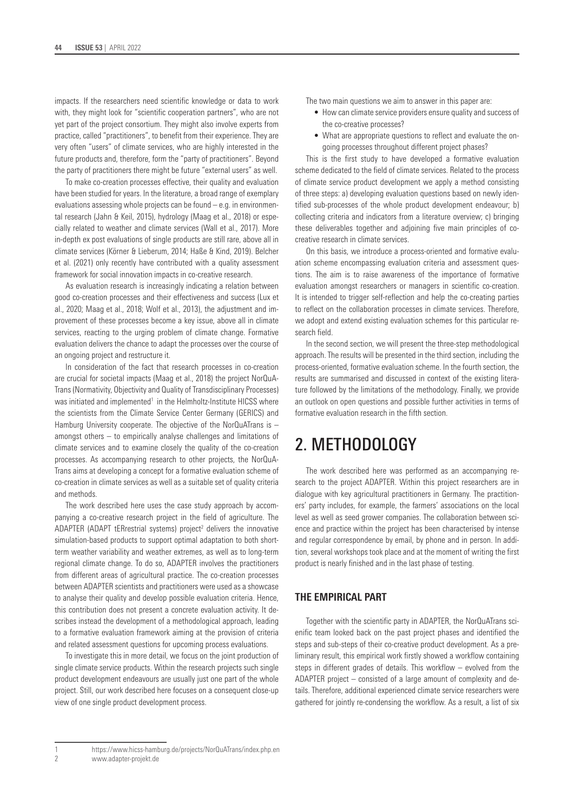impacts. If the researchers need scientific knowledge or data to work with, they might look for "scientific cooperation partners", who are not yet part of the project consortium. They might also involve experts from practice, called "practitioners", to benefit from their experience. They are very often "users" of climate services, who are highly interested in the future products and, therefore, form the "party of practitioners". Beyond the party of practitioners there might be future "external users" as well.

To make co-creation processes effective, their quality and evaluation have been studied for years. In the literature, a broad range of exemplary evaluations assessing whole projects can be found – e.g. in environmental research (Jahn & Keil, 2015), hydrology (Maag et al., 2018) or especially related to weather and climate services (Wall et al., 2017). More in-depth ex post evaluations of single products are still rare, above all in climate services (Körner & Lieberum, 2014; Haße & Kind, 2019). Belcher et al. (2021) only recently have contributed with a quality assessment framework for social innovation impacts in co-creative research.

As evaluation research is increasingly indicating a relation between good co-creation processes and their effectiveness and success (Lux et al., 2020; Maag et al., 2018; Wolf et al., 2013), the adjustment and improvement of these processes become a key issue, above all in climate services, reacting to the urging problem of climate change. Formative evaluation delivers the chance to adapt the processes over the course of an ongoing project and restructure it.

In consideration of the fact that research processes in co-creation are crucial for societal impacts (Maag et al., 2018) the project NorQuA-Trans (Normativity, Objectivity and Quality of Transdisciplinary Processes) was initiated and implemented<sup>1</sup> in the Helmholtz-Institute HICSS where the scientists from the Climate Service Center Germany (GERICS) and Hamburg University cooperate. The objective of the NorQuATrans is – amongst others – to empirically analyse challenges and limitations of climate services and to examine closely the quality of the co-creation processes. As accompanying research to other projects, the NorQuA-Trans aims at developing a concept for a formative evaluation scheme of co-creation in climate services as well as a suitable set of quality criteria and methods.

The work described here uses the case study approach by accompanying a co-creative research project in the field of agriculture. The ADAPTER (ADAPT tERrestrial systems) project<sup>2</sup> delivers the innovative simulation-based products to support optimal adaptation to both shortterm weather variability and weather extremes, as well as to long-term regional climate change. To do so, ADAPTER involves the practitioners from different areas of agricultural practice. The co-creation processes between ADAPTER scientists and practitioners were used as a showcase to analyse their quality and develop possible evaluation criteria. Hence, this contribution does not present a concrete evaluation activity. It describes instead the development of a methodological approach, leading to a formative evaluation framework aiming at the provision of criteria and related assessment questions for upcoming process evaluations.

To investigate this in more detail, we focus on the joint production of single climate service products. Within the research projects such single product development endeavours are usually just one part of the whole project. Still, our work described here focuses on a consequent close-up view of one single product development process.

The two main questions we aim to answer in this paper are:

- How can climate service providers ensure quality and success of the co-creative processes?
- What are appropriate questions to reflect and evaluate the ongoing processes throughout different project phases?

This is the first study to have developed a formative evaluation scheme dedicated to the field of climate services. Related to the process of climate service product development we apply a method consisting of three steps: a) developing evaluation questions based on newly identified sub-processes of the whole product development endeavour; b) collecting criteria and indicators from a literature overview; c) bringing these deliverables together and adjoining five main principles of cocreative research in climate services.

On this basis, we introduce a process-oriented and formative evaluation scheme encompassing evaluation criteria and assessment questions. The aim is to raise awareness of the importance of formative evaluation amongst researchers or managers in scientific co-creation. It is intended to trigger self-reflection and help the co-creating parties to reflect on the collaboration processes in climate services. Therefore, we adopt and extend existing evaluation schemes for this particular research field.

In the second section, we will present the three-step methodological approach. The results will be presented in the third section, including the process-oriented, formative evaluation scheme. In the fourth section, the results are summarised and discussed in context of the existing literature followed by the limitations of the methodology. Finally, we provide an outlook on open questions and possible further activities in terms of formative evaluation research in the fifth section.

# 2. METHODOLOGY

The work described here was performed as an accompanying research to the project ADAPTER. Within this project researchers are in dialogue with key agricultural practitioners in Germany. The practitioners' party includes, for example, the farmers' associations on the local level as well as seed grower companies. The collaboration between science and practice within the project has been characterised by intense and regular correspondence by email, by phone and in person. In addition, several workshops took place and at the moment of writing the first product is nearly finished and in the last phase of testing.

### **THE EMPIRICAL PART**

Together with the scientific party in ADAPTER, the NorQuATrans scienific team looked back on the past project phases and identified the steps and sub-steps of their co-creative product development. As a preliminary result, this empirical work firstly showed a workflow containing steps in different grades of details. This workflow – evolved from the ADAPTER project – consisted of a large amount of complexity and details. Therefore, additional experienced climate service researchers were gathered for jointly re-condensing the workflow. As a result, a list of six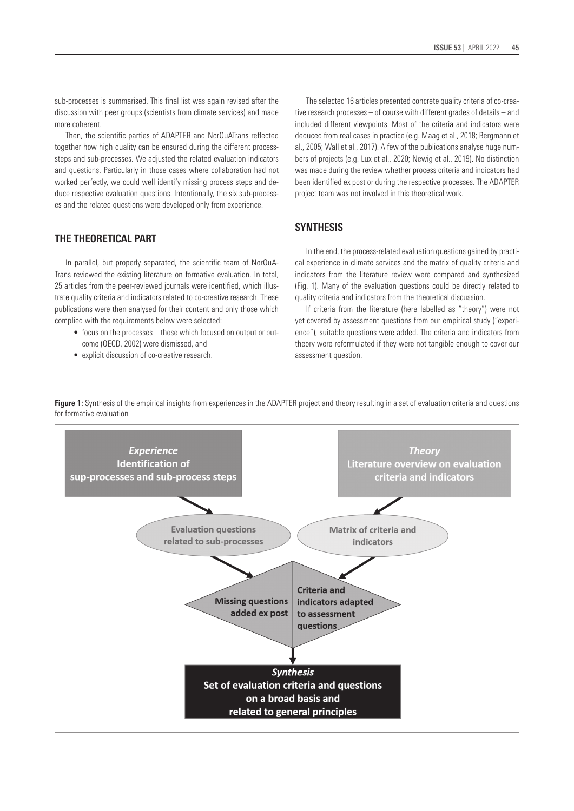sub-processes is summarised. This final list was again revised after the discussion with peer groups (scientists from climate services) and made more coherent.

Then, the scientific parties of ADAPTER and NorQuATrans reflected together how high quality can be ensured during the different processsteps and sub-processes. We adjusted the related evaluation indicators and questions. Particularly in those cases where collaboration had not worked perfectly, we could well identify missing process steps and deduce respective evaluation questions. Intentionally, the six sub-processes and the related questions were developed only from experience.

### **THE THEORETICAL PART**

In parallel, but properly separated, the scientific team of NorQuA-Trans reviewed the existing literature on formative evaluation. In total, 25 articles from the peer-reviewed journals were identified, which illustrate quality criteria and indicators related to co-creative research. These publications were then analysed for their content and only those which complied with the requirements below were selected:

- focus on the processes those which focused on output or outcome (OECD, 2002) were dismissed, and
- explicit discussion of co-creative research.

The selected 16 articles presented concrete quality criteria of co-creative research processes – of course with different grades of details – and included different viewpoints. Most of the criteria and indicators were deduced from real cases in practice (e.g. Maag et al., 2018; Bergmann et al., 2005; Wall et al., 2017). A few of the publications analyse huge numbers of projects (e.g. Lux et al., 2020; Newig et al., 2019). No distinction was made during the review whether process criteria and indicators had been identified ex post or during the respective processes. The ADAPTER project team was not involved in this theoretical work.

### **SYNTHESIS**

In the end, the process-related evaluation questions gained by practical experience in climate services and the matrix of quality criteria and indicators from the literature review were compared and synthesized (Fig. 1). Many of the evaluation questions could be directly related to quality criteria and indicators from the theoretical discussion.

If criteria from the literature (here labelled as "theory") were not yet covered by assessment questions from our empirical study ("experience"), suitable questions were added. The criteria and indicators from theory were reformulated if they were not tangible enough to cover our assessment question.

**Figure 1:** Synthesis of the empirical insights from experiences in the ADAPTER project and theory resulting in a set of evaluation criteria and questions for formative evaluation

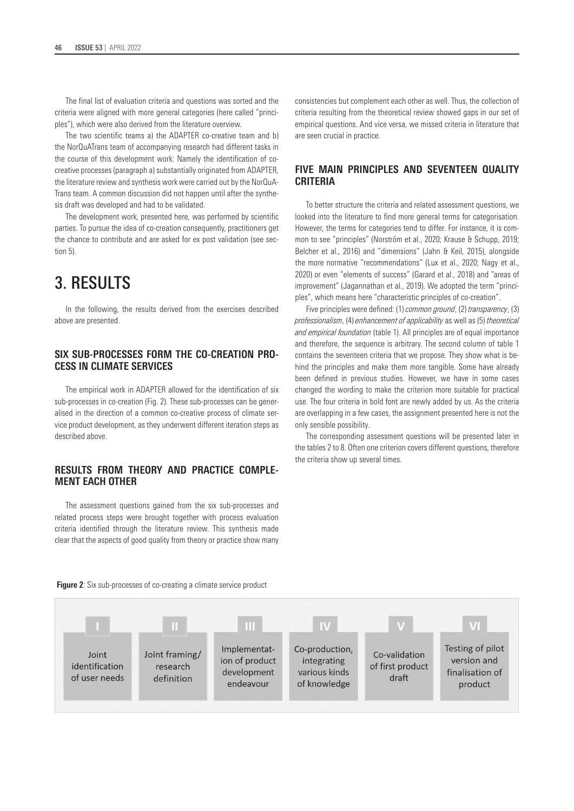The final list of evaluation criteria and questions was sorted and the criteria were aligned with more general categories (here called "principles"), which were also derived from the literature overview.

The two scientific teams a) the ADAPTER co-creative team and b) the NorQuATrans team of accompanying research had different tasks in the course of this development work: Namely the identification of cocreative processes (paragraph a) substantially originated from ADAPTER, the literature review and synthesis work were carried out by the NorQuA-Trans team. A common discussion did not happen until after the synthesis draft was developed and had to be validated.

The development work, presented here, was performed by scientific parties. To pursue the idea of co-creation consequently, practitioners get the chance to contribute and are asked for ex post validation (see section 5).

# 3. RESULTS

In the following, the results derived from the exercises described above are presented.

#### **SIX SUB-PROCESSES FORM THE CO-CREATION PRO-CESS IN CLIMATE SERVICES**

The empirical work in ADAPTER allowed for the identification of six sub-processes in co-creation (Fig. 2). These sub-processes can be generalised in the direction of a common co-creative process of climate service product development, as they underwent different iteration steps as described above.

# **RESULTS FROM THEORY AND PRACTICE COMPLE-MENT EACH OTHER**

The assessment questions gained from the six sub-processes and related process steps were brought together with process evaluation criteria identified through the literature review. This synthesis made clear that the aspects of good quality from theory or practice show many consistencies but complement each other as well. Thus, the collection of criteria resulting from the theoretical review showed gaps in our set of empirical questions. And vice versa, we missed criteria in literature that are seen crucial in practice.

### **FIVE MAIN PRINCIPLES AND SEVENTEEN QUALITY CRITERIA**

To better structure the criteria and related assessment questions, we looked into the literature to find more general terms for categorisation. However, the terms for categories tend to differ. For instance, it is common to see "principles" (Norström et al., 2020; Krause & Schupp, 2019; Belcher et al., 2016) and "dimensions" (Jahn & Keil, 2015), alongside the more normative "recommendations" (Lux et al., 2020; Nagy et al., 2020) or even "elements of success" (Garard et al., 2018) and "areas of improvement" (Jagannathan et al., 2019). We adopted the term "principles", which means here "characteristic principles of co-creation".

Five principles were defined: (1) *common ground*, (2) *transparency*, (3) *professionalism*, (4) *enhancement of applicability* as well as (5) *theoretical and empirical foundation* (table 1). All principles are of equal importance and therefore, the sequence is arbitrary. The second column of table 1 contains the seventeen criteria that we propose. They show what is behind the principles and make them more tangible. Some have already been defined in previous studies. However, we have in some cases changed the wording to make the criterion more suitable for practical use. The four criteria in bold font are newly added by us. As the criteria are overlapping in a few cases, the assignment presented here is not the only sensible possibility.

The corresponding assessment questions will be presented later in the tables 2 to 8. Often one criterion covers different questions, therefore the criteria show up several times.



**Figure 2:** Six sub-processes of co-creating a climate service product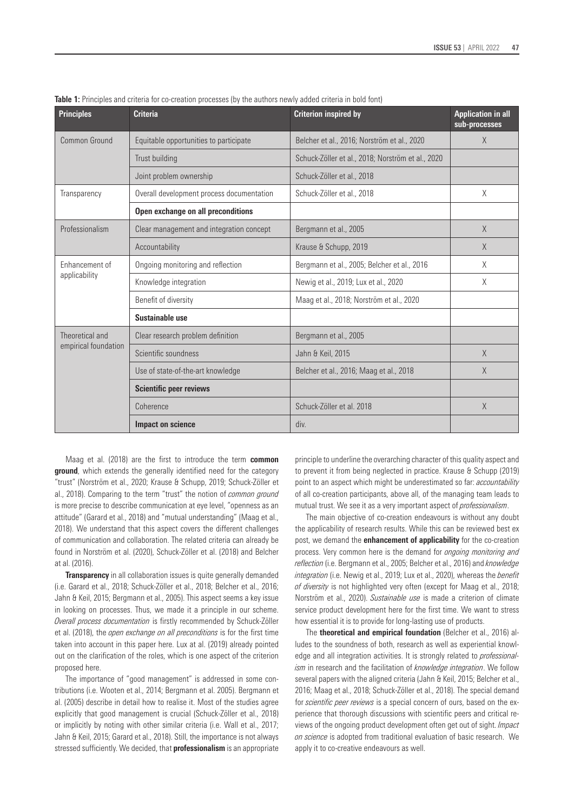| <b>Principles</b>               | <b>Criteria</b>                           | <b>Criterion inspired by</b>                      | <b>Application in all</b><br>sub-processes |
|---------------------------------|-------------------------------------------|---------------------------------------------------|--------------------------------------------|
| Common Ground                   | Equitable opportunities to participate    | Belcher et al., 2016; Norström et al., 2020       | $\times$                                   |
|                                 | Trust building                            | Schuck-Zöller et al., 2018; Norström et al., 2020 |                                            |
|                                 | Joint problem ownership                   | Schuck-Zöller et al., 2018                        |                                            |
| Transparency                    | Overall development process documentation | Schuck-Zöller et al., 2018                        | X                                          |
|                                 | Open exchange on all preconditions        |                                                   |                                            |
| Professionalism                 | Clear management and integration concept  | Bergmann et al., 2005                             | $\times$                                   |
|                                 | Accountability                            | Krause & Schupp, 2019                             | $\times$                                   |
| Enhancement of<br>applicability | Ongoing monitoring and reflection         | Bergmann et al., 2005; Belcher et al., 2016       | X                                          |
|                                 | Knowledge integration                     | Newig et al., 2019; Lux et al., 2020              | X                                          |
|                                 | Benefit of diversity                      | Maag et al., 2018; Norström et al., 2020          |                                            |
|                                 | Sustainable use                           |                                                   |                                            |
| Theoretical and                 | Clear research problem definition         | Bergmann et al., 2005                             |                                            |
| empirical foundation            | Scientific soundness                      | Jahn & Keil, 2015                                 | X                                          |
|                                 | Use of state-of-the-art knowledge         | Belcher et al., 2016; Maag et al., 2018           | X                                          |
|                                 | <b>Scientific peer reviews</b>            |                                                   |                                            |
|                                 | Coherence                                 | Schuck-Zöller et al. 2018                         | $\times$                                   |
|                                 | Impact on science                         | div.                                              |                                            |

Table 1: Principles and criteria for co-creation processes (by the authors newly added criteria in bold font)

Maag et al. (2018) are the first to introduce the term **common ground**, which extends the generally identified need for the category "trust" (Norström et al., 2020; Krause & Schupp, 2019; Schuck-Zöller et al., 2018). Comparing to the term "trust" the notion of *common ground* is more precise to describe communication at eye level, "openness as an attitude" (Garard et al., 2018) and "mutual understanding" (Maag et al., 2018). We understand that this aspect covers the different challenges of communication and collaboration. The related criteria can already be found in Norström et al. (2020), Schuck-Zöller et al. (2018) and Belcher at al. (2016).

**Transparency** in all collaboration issues is quite generally demanded (i.e. Garard et al., 2018; Schuck-Zöller et al., 2018; Belcher et al., 2016; Jahn & Keil, 2015; Bergmann et al., 2005). This aspect seems a key issue in looking on processes. Thus, we made it a principle in our scheme. *Overall process documentation* is firstly recommended by Schuck-Zöller et al. (2018), the *open exchange on all preconditions* is for the first time taken into account in this paper here. Lux at al. (2019) already pointed out on the clarification of the roles, which is one aspect of the criterion proposed here.

The importance of "good management" is addressed in some contributions (i.e. Wooten et al., 2014; Bergmann et al. 2005). Bergmann et al. (2005) describe in detail how to realise it. Most of the studies agree explicitly that good management is crucial (Schuck-Zöller et al., 2018) or implicitly by noting with other similar criteria (i.e. Wall et al., 2017; Jahn & Keil, 2015; Garard et al., 2018). Still, the importance is not always stressed sufficiently. We decided, that **professionalism** is an appropriate

principle to underline the overarching character of this quality aspect and to prevent it from being neglected in practice. Krause & Schupp (2019) point to an aspect which might be underestimated so far: *accountability* of all co-creation participants, above all, of the managing team leads to mutual trust. We see it as a very important aspect of *professionalism*.

The main objective of co-creation endeavours is without any doubt the applicability of research results. While this can be reviewed best ex post, we demand the **enhancement of applicability** for the co-creation process. Very common here is the demand for *ongoing monitoring and reflection* (i.e. Bergmann et al., 2005; Belcher et al., 2016) and *knowledge integration* (i.e. Newig et al., 2019; Lux et al., 2020), whereas the *benefit* of diversity is not highlighted very often (except for Maag et al., 2018; Norström et al., 2020). *Sustainable use* is made a criterion of climate service product development here for the first time. We want to stress how essential it is to provide for long-lasting use of products.

The **theoretical and empirical foundation** (Belcher et al., 2016) alludes to the soundness of both, research as well as experiential knowledge and all integration activities. It is strongly related to *professionalism* in research and the facilitation of *knowledge integration*. We follow several papers with the aligned criteria (Jahn & Keil, 2015; Belcher et al., 2016; Maag et al., 2018; Schuck-Zöller et al., 2018). The special demand for *scientific peer reviews* is a special concern of ours, based on the experience that thorough discussions with scientific peers and critical reviews of the ongoing product development often get out of sight. *Impact on science* is adopted from traditional evaluation of basic research. We apply it to co-creative endeavours as well.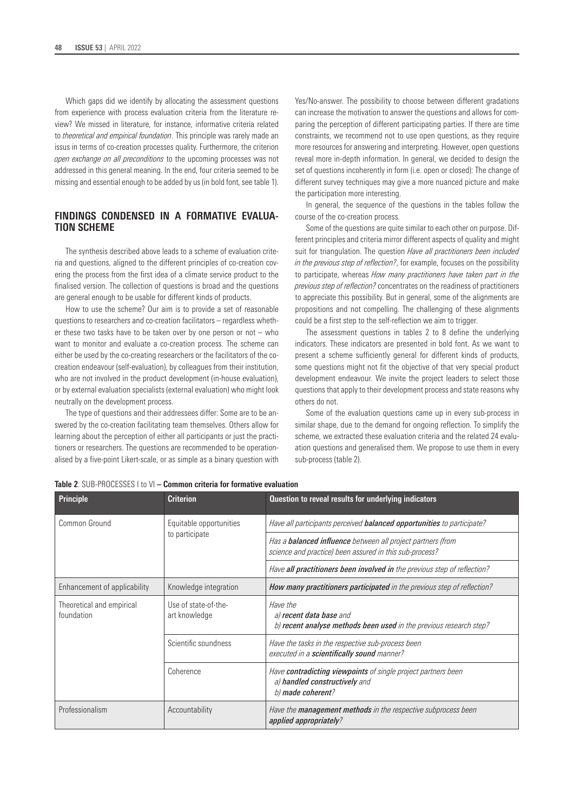Which gaps did we identify by allocating the assessment questions from experience with process evaluation criteria from the literature review? We missed in literature, for instance, informative criteria related to *theoretical and empirical foundation*. This principle was rarely made an issus in terms of co-creation processes quality. Furthermore, the criterion *open exchange on all preconditions* to the upcoming processes was not addressed in this general meaning. In the end, four criteria seemed to be missing and essential enough to be added by us (in bold font, see table 1).

## **FINDINGS CONDENSED IN A FORMATIVE EVALUA-TION SCHEME**

The synthesis described above leads to a scheme of evaluation criteria and questions, aligned to the different principles of co-creation covering the process from the first idea of a climate service product to the finalised version. The collection of questions is broad and the questions are general enough to be usable for different kinds of products.

How to use the scheme? Our aim is to provide a set of reasonable questions to researchers and co-creation facilitators – regardless whether these two tasks have to be taken over by one person or not – who want to monitor and evaluate a co-creation process. The scheme can either be used by the co-creating researchers or the facilitators of the cocreation endeavour (self-evaluation), by colleagues from their institution, who are not involved in the product development (in-house evaluation), or by external evaluation specialists (external evaluation) who might look neutrally on the development process.

The type of questions and their addressees differ: Some are to be answered by the co-creation facilitating team themselves. Others allow for learning about the perception of either all participants or just the practitioners or researchers. The questions are recommended to be operationalised by a five-point Likert-scale, or as simple as a binary question with Yes/No-answer. The possibility to choose between different gradations can increase the motivation to answer the questions and allows for comparing the perception of different participating parties. If there are time constraints, we recommend not to use open questions, as they require more resources for answering and interpreting. However, open questions reveal more in-depth information. In general, we decided to design the set of questions incoherently in form (i.e. open or closed): The change of different survey techniques may give a more nuanced picture and make the participation more interesting.

In general, the sequence of the questions in the tables follow the course of the co-creation process.

Some of the questions are quite similar to each other on purpose. Different principles and criteria mirror different aspects of quality and might suit for triangulation. The question *Have all practitioners been included in the previous step of reflection?*, for example, focuses on the possibility to participate, whereas *How many practitioners have taken part in the previous step of reflection?* concentrates on the readiness of practitioners to appreciate this possibility. But in general, some of the alignments are propositions and not compelling. The challenging of these alignments could be a first step to the self-reflection we aim to trigger.

The assessment questions in tables 2 to 8 define the underlying indicators. These indicators are presented in bold font. As we want to present a scheme sufficiently general for different kinds of products, some questions might not fit the objective of that very special product development endeavour. We invite the project leaders to select those questions that apply to their development process and state reasons why others do not.

Some of the evaluation questions came up in every sub-process in similar shape, due to the demand for ongoing reflection. To simplify the scheme, we extracted these evaluation criteria and the related 24 evaluation questions and generalised them. We propose to use them in every sub-process (table 2).

| Principle                               | <b>Criterion</b>                      | Question to reveal results for underlying indicators                                                                          |  |  |  |  |
|-----------------------------------------|---------------------------------------|-------------------------------------------------------------------------------------------------------------------------------|--|--|--|--|
| Common Ground                           | Equitable opportunities               | Have all participants perceived <b>balanced opportunities</b> to participate?                                                 |  |  |  |  |
|                                         | to participate                        | Has a <b>balanced influence</b> between all project partners (from<br>science and practice) been assured in this sub-process? |  |  |  |  |
|                                         |                                       | Have all practitioners been involved in the previous step of reflection?                                                      |  |  |  |  |
| Enhancement of applicability            | Knowledge integration                 | How many practitioners participated in the previous step of reflection?                                                       |  |  |  |  |
| Theoretical and empirical<br>foundation | Use of state-of-the-<br>art knowledge | Have the<br>a) recent data base and<br>b) recent analyse methods been used in the previous research step?                     |  |  |  |  |
|                                         | Scientific soundness                  | Have the tasks in the respective sub-process been<br>executed in a scientifically sound manner?                               |  |  |  |  |
|                                         | Coherence                             | Have contradicting viewpoints of single project partners been<br>a) handled constructively and<br>b) made coherent?           |  |  |  |  |
| Professionalism                         | Accountability                        | Have the <b>management methods</b> in the respective subprocess been<br>applied appropriately?                                |  |  |  |  |

**Table 2**: SUB-PROCESSES I to VI **– Common criteria for formative evaluation**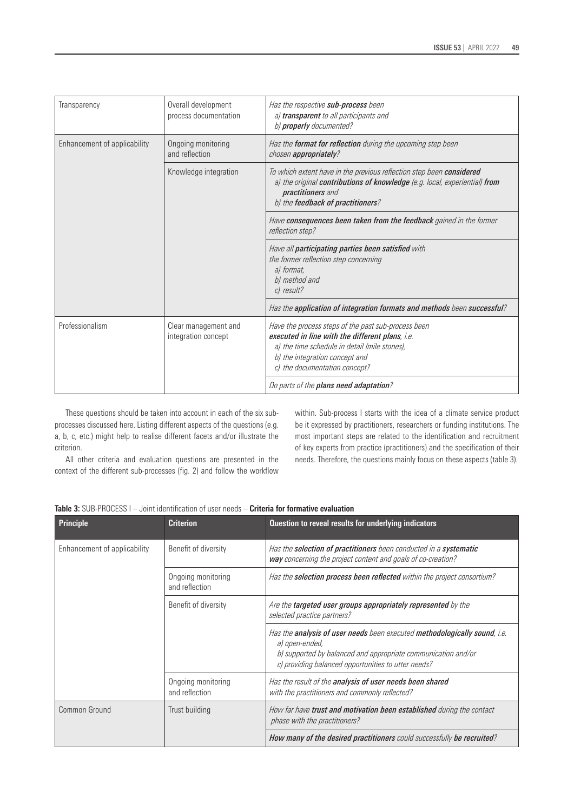| Transparency                 | Overall development<br>process documentation | Has the respective sub-process been<br>a) transparent to all participants and<br>b) properly documented?                                                                                                                   |  |  |  |  |
|------------------------------|----------------------------------------------|----------------------------------------------------------------------------------------------------------------------------------------------------------------------------------------------------------------------------|--|--|--|--|
| Enhancement of applicability | Ongoing monitoring<br>and reflection         | Has the <b>format for reflection</b> during the upcoming step been<br>chosen appropriately?                                                                                                                                |  |  |  |  |
|                              | Knowledge integration                        | To which extent have in the previous reflection step been considered<br>a) the original contributions of knowledge (e.g. local, experiential) from<br>practitioners and<br>b) the feedback of practitioners?               |  |  |  |  |
|                              |                                              | Have consequences been taken from the feedback gained in the former<br>reflection step?                                                                                                                                    |  |  |  |  |
|                              |                                              | Have all participating parties been satisfied with<br>the former reflection step concerning<br>al format.<br>b) method and<br>c) result?                                                                                   |  |  |  |  |
|                              |                                              | Has the application of integration formats and methods been successful?                                                                                                                                                    |  |  |  |  |
| Professionalism              | Clear management and<br>integration concept  | Have the process steps of the past sub-process been<br>executed in line with the different plans, i.e.<br>a) the time schedule in detail (mile stones),<br>b) the integration concept and<br>c) the documentation concept? |  |  |  |  |
|                              |                                              | Do parts of the plans need adaptation?                                                                                                                                                                                     |  |  |  |  |

These questions should be taken into account in each of the six subprocesses discussed here. Listing different aspects of the questions (e.g. a, b, c, etc.) might help to realise different facets and/or illustrate the criterion.

All other criteria and evaluation questions are presented in the context of the different sub-processes (fig. 2) and follow the workflow

within. Sub-process I starts with the idea of a climate service product be it expressed by practitioners, researchers or funding institutions. The most important steps are related to the identification and recruitment of key experts from practice (practitioners) and the specification of their needs. Therefore, the questions mainly focus on these aspects (table 3).

| <b>Table 3:</b> SUB-PROCESS I – Joint identification of user needs – <b>Criteria for formative evaluation</b> |
|---------------------------------------------------------------------------------------------------------------|
|---------------------------------------------------------------------------------------------------------------|

| <b>Principle</b>             | <b>Criterion</b>                     | Question to reveal results for underlying indicators                                                                                                                                                                |
|------------------------------|--------------------------------------|---------------------------------------------------------------------------------------------------------------------------------------------------------------------------------------------------------------------|
| Enhancement of applicability | Benefit of diversity                 | Has the selection of practitioners been conducted in a systematic<br>way concerning the project content and goals of co-creation?                                                                                   |
|                              | Ongoing monitoring<br>and reflection | Has the <b>selection process been reflected</b> within the project consortium?                                                                                                                                      |
|                              | Benefit of diversity                 | Are the targeted user groups appropriately represented by the<br>selected practice partners?                                                                                                                        |
|                              |                                      | Has the analysis of user needs been executed methodologically sound, i.e.<br>a) open-ended,<br>b) supported by balanced and appropriate communication and/or<br>c) providing balanced opportunities to utter needs? |
|                              | Ongoing monitoring<br>and reflection | Has the result of the analysis of user needs been shared<br>with the practitioners and commonly reflected?                                                                                                          |
| Common Ground                | Trust building                       | How far have trust and motivation been established during the contact<br>phase with the practitioners?                                                                                                              |
|                              |                                      | How many of the desired practitioners could successfully be recruited?                                                                                                                                              |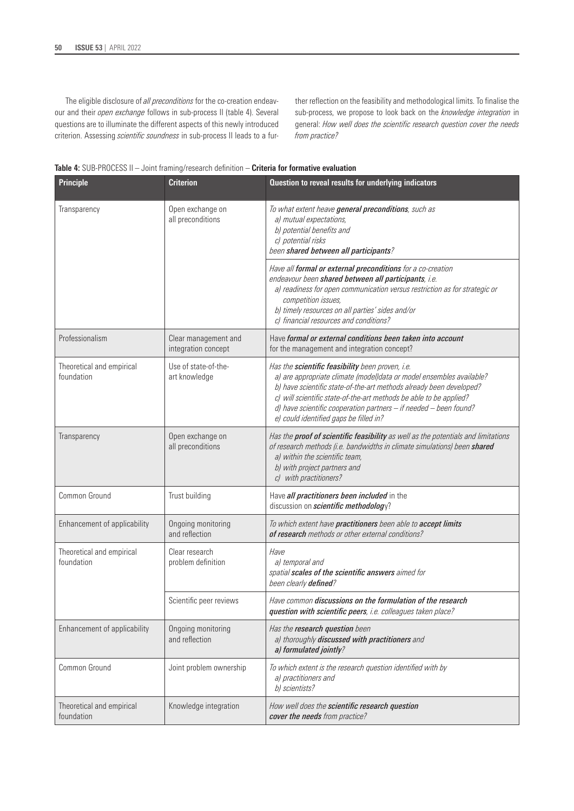The eligible disclosure of *all preconditions* for the co-creation endeavour and their *open exchange* follows in sub-process II (table 4). Several questions are to illuminate the different aspects of this newly introduced criterion. Assessing *scientific soundness* in sub-process II leads to a further reflection on the feasibility and methodological limits. To finalise the sub-process, we propose to look back on the *knowledge integration* in general: *How well does the scientific research question cover the needs from practice?*



| <b>Principle</b>                        | <b>Criterion</b>                            | Question to reveal results for underlying indicators                                                                                                                                                                                                                                                                                                                                        |
|-----------------------------------------|---------------------------------------------|---------------------------------------------------------------------------------------------------------------------------------------------------------------------------------------------------------------------------------------------------------------------------------------------------------------------------------------------------------------------------------------------|
| Transparency                            | Open exchange on<br>all preconditions       | To what extent heave general preconditions, such as<br>a) mutual expectations,<br>b) potential benefits and<br>c) potential risks<br>been shared between all participants?                                                                                                                                                                                                                  |
|                                         |                                             | Have all formal or external preconditions for a co-creation<br>endeavour been shared between all participants, i.e.<br>a) readiness for open communication versus restriction as for strategic or<br>competition issues,<br>b) timely resources on all parties' sides and/or<br>c) financial resources and conditions?                                                                      |
| Professionalism                         | Clear management and<br>integration concept | Have formal or external conditions been taken into account<br>for the management and integration concept?                                                                                                                                                                                                                                                                                   |
| Theoretical and empirical<br>foundation | Use of state-of-the-<br>art knowledge       | Has the <b>scientific feasibility</b> been proven, i.e.<br>a) are appropriate climate (model)data or model ensembles available?<br>b) have scientific state-of-the-art methods already been developed?<br>c) will scientific state-of-the-art methods be able to be applied?<br>d) have scientific cooperation partners - if needed - been found?<br>e) could identified gaps be filled in? |
| Transparency                            | Open exchange on<br>all preconditions       | Has the <b>proof of scientific feasibility</b> as well as the potentials and limitations<br>of research methods (i.e. bandwidths in climate simulations) been shared<br>a) within the scientific team,<br>b) with project partners and<br>c) with practitioners?                                                                                                                            |
| Common Ground                           | Trust building                              | Have all practitioners been included in the<br>discussion on <i>scientific methodology</i> ?                                                                                                                                                                                                                                                                                                |
| Enhancement of applicability            | Ongoing monitoring<br>and reflection        | To which extent have practitioners been able to accept limits<br>of research methods or other external conditions?                                                                                                                                                                                                                                                                          |
| Theoretical and empirical<br>foundation | Clear research<br>problem definition        | Have<br>a) temporal and<br>spatial scales of the scientific answers aimed for<br>been clearly defined?                                                                                                                                                                                                                                                                                      |
|                                         | Scientific peer reviews                     | Have common discussions on the formulation of the research<br>question with scientific peers, i.e. colleagues taken place?                                                                                                                                                                                                                                                                  |
| Enhancement of applicability            | Ongoing monitoring<br>and reflection        | Has the research question been<br>a) thoroughly discussed with practitioners and<br>a) formulated jointly?                                                                                                                                                                                                                                                                                  |
| Common Ground                           | Joint problem ownership                     | To which extent is the research question identified with by<br>a) practitioners and<br>b) scientists?                                                                                                                                                                                                                                                                                       |
| Theoretical and empirical<br>foundation | Knowledge integration                       | How well does the scientific research question<br>cover the needs from practice?                                                                                                                                                                                                                                                                                                            |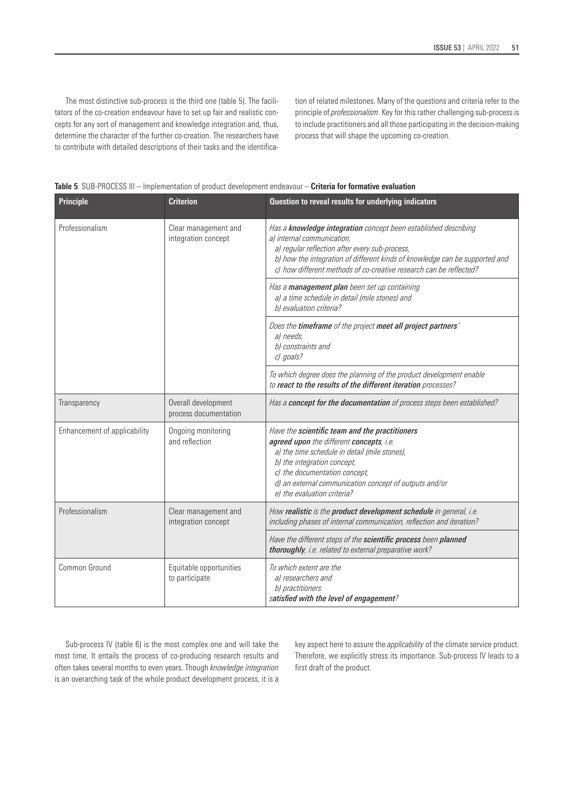The most distinctive sub-process is the third one (table 5). The facilitators of the co-creation endeavour have to set up fair and realistic concepts for any sort of management and knowledge integration and, thus, determine the character of the further co-creation. The researchers have to contribute with detailed descriptions of their tasks and the identification of related milestones. Many of the questions and criteria refer to the principle of *professionalism*. Key for this rather challenging sub-process is to include practitioners and all those participating in the decision-making process that will shape the upcoming co-creation.

| <b>Table 5</b> : SUB-PROCESS III – Implementation of product development endeavour – <b>Criteria for formative evaluation</b> |  |  |  |  |  |
|-------------------------------------------------------------------------------------------------------------------------------|--|--|--|--|--|
|-------------------------------------------------------------------------------------------------------------------------------|--|--|--|--|--|

| <b>Principle</b>             | <b>Criterion</b>                             | Question to reveal results for underlying indicators                                                                                                                                                                                                                                                 |  |  |  |  |
|------------------------------|----------------------------------------------|------------------------------------------------------------------------------------------------------------------------------------------------------------------------------------------------------------------------------------------------------------------------------------------------------|--|--|--|--|
| Professionalism              | Clear management and<br>integration concept  | Has a knowledge integration concept been established describing<br>a) internal communication,<br>a) regular reflection after every sub-process,<br>b) how the integration of different kinds of knowledge can be supported and<br>c) how different methods of co-creative research can be reflected? |  |  |  |  |
|                              |                                              | Has a management plan been set up containing<br>a) a time schedule in detail (mile stones) and<br>b) evaluation criteria?                                                                                                                                                                            |  |  |  |  |
|                              |                                              | Does the timeframe of the project meet all project partners'<br>a) needs,<br>b) constraints and<br>c) goals?                                                                                                                                                                                         |  |  |  |  |
|                              |                                              | To which degree does the planning of the product development enable<br>to react to the results of the different iteration processes?                                                                                                                                                                 |  |  |  |  |
| Transparency                 | Overall development<br>process documentation | Has a concept for the documentation of process steps been established?                                                                                                                                                                                                                               |  |  |  |  |
| Enhancement of applicability | Ongoing monitoring<br>and reflection         | Have the scientific team and the practitioners<br>agreed upon the different concepts, i.e.<br>a) the time schedule in detail (mile stones),<br>b) the integration concept,<br>c) the documentation concept,<br>d) an external communication concept of outputs and/or<br>e) the evaluation criteria? |  |  |  |  |
| Professionalism              | Clear management and<br>integration concept  | How realistic is the product development schedule in general, i.e.<br>including phases of internal communication, reflection and iteration?                                                                                                                                                          |  |  |  |  |
|                              |                                              | Have the different steps of the scientific process been planned<br>thoroughly, i.e. related to external preparative work?                                                                                                                                                                            |  |  |  |  |
| Common Ground                | Equitable opportunities<br>to participate    | To which extent are the<br>a) researchers and<br>b) practitioners<br>satisfied with the level of engagement?                                                                                                                                                                                         |  |  |  |  |

Sub-process IV (table 6) is the most complex one and will take the most time. It entails the process of co-producing research results and often takes several months to even years. Though *knowledge integration*  is an overarching task of the whole product development process, it is a key aspect here to assure the *applicability* of the climate service product. Therefore, we explicitly stress its importance. Sub-process IV leads to a first draft of the product.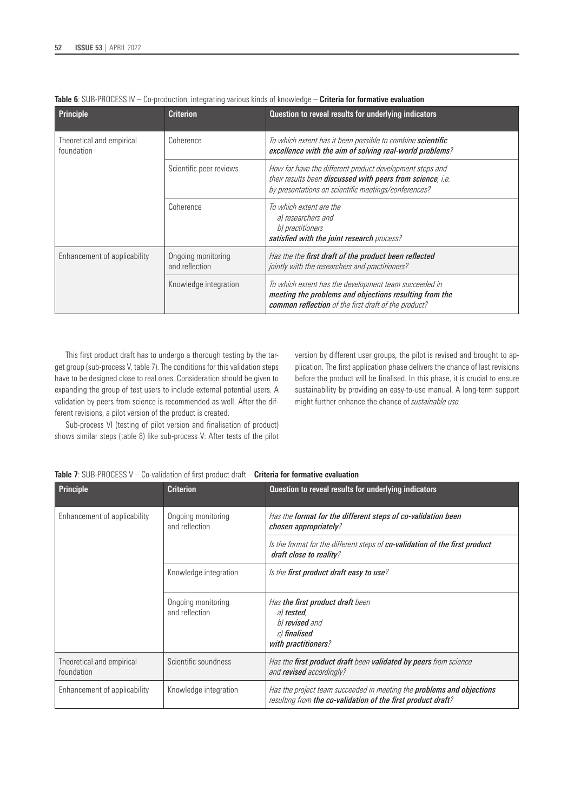| <b>Principle</b>                        | <b>Criterion</b>                     | Question to reveal results for underlying indicators                                                                                                                           |
|-----------------------------------------|--------------------------------------|--------------------------------------------------------------------------------------------------------------------------------------------------------------------------------|
| Theoretical and empirical<br>foundation | Coherence                            | To which extent has it been possible to combine scientific<br>excellence with the aim of solving real-world problems?                                                          |
|                                         | Scientific peer reviews              | How far have the different product development steps and<br>their results been discussed with peers from science, i.e.<br>by presentations on scientific meetings/conferences? |
|                                         | Coherence                            | To which extent are the<br>a) researchers and<br>b) practitioners<br>satisfied with the joint research process?                                                                |
| Enhancement of applicability            | Ongoing monitoring<br>and reflection | Has the the first draft of the product been reflected<br>jointly with the researchers and practitioners?                                                                       |
|                                         | Knowledge integration                | To which extent has the development team succeeded in<br>meeting the problems and objections resulting from the<br>common reflection of the first draft of the product?        |

This first product draft has to undergo a thorough testing by the target group (sub-process V, table 7). The conditions for this validation steps have to be designed close to real ones. Consideration should be given to expanding the group of test users to include external potential users. A validation by peers from science is recommended as well. After the different revisions, a pilot version of the product is created.

Sub-process VI (testing of pilot version and finalisation of product) shows similar steps (table 8) like sub-process V: After tests of the pilot version by different user groups, the pilot is revised and brought to application. The first application phase delivers the chance of last revisions before the product will be finalised. In this phase, it is crucial to ensure sustainability by providing an easy-to-use manual. A long-term support might further enhance the chance of *sustainable use.*

|  |  |  | <b>Table 7</b> : SUB-PROCESS V – Co-validation of first product draft – <b>Criteria for formative evaluation</b> |  |  |  |  |  |  |  |
|--|--|--|------------------------------------------------------------------------------------------------------------------|--|--|--|--|--|--|--|
|--|--|--|------------------------------------------------------------------------------------------------------------------|--|--|--|--|--|--|--|

| <b>Principle</b>                        | <b>Criterion</b>                     | Question to reveal results for underlying indicators                                                                                         |
|-----------------------------------------|--------------------------------------|----------------------------------------------------------------------------------------------------------------------------------------------|
| Enhancement of applicability            | Ongoing monitoring<br>and reflection | Has the format for the different steps of co-validation been<br>chosen appropriately?                                                        |
|                                         |                                      | Is the format for the different steps of co-validation of the first product<br>draft close to reality?                                       |
|                                         | Knowledge integration                | Is the first product draft easy to use?                                                                                                      |
|                                         | Ongoing monitoring<br>and reflection | Has the first product draft been<br>a) <b>tested</b> ,<br>b) revised and<br>c) finalised<br>with practitioners?                              |
| Theoretical and empirical<br>foundation | Scientific soundness                 | Has the <b>first product draft</b> been <b>validated by peers</b> from science<br>and <b>revised</b> accordingly?                            |
| Enhancement of applicability            | Knowledge integration                | Has the project team succeeded in meeting the <b>problems and objections</b><br>resulting from the co-validation of the first product draft? |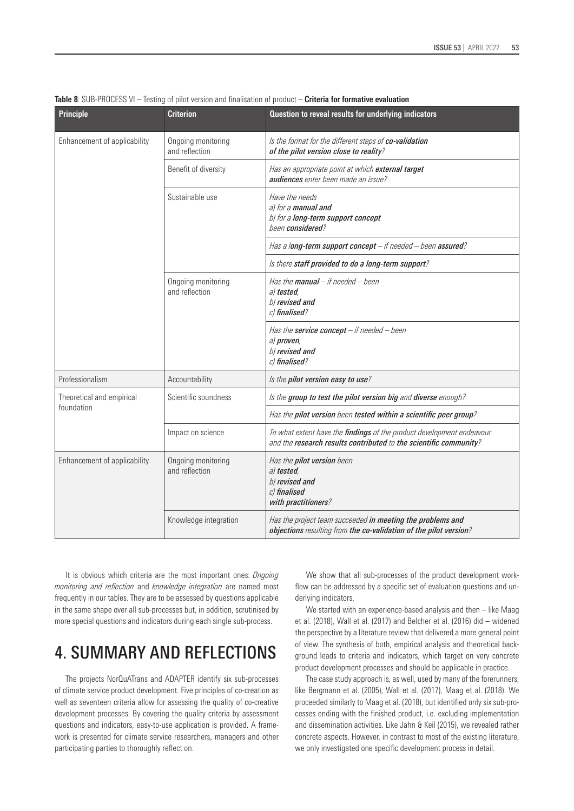| <b>Principle</b>                        | <b>Criterion</b>                     | Question to reveal results for underlying indicators                                                                                              |
|-----------------------------------------|--------------------------------------|---------------------------------------------------------------------------------------------------------------------------------------------------|
| Enhancement of applicability            | Ongoing monitoring<br>and reflection | Is the format for the different steps of co-validation<br>of the pilot version close to reality?                                                  |
|                                         | Benefit of diversity                 | Has an appropriate point at which external target<br>audiences enter been made an issue?                                                          |
|                                         | Sustainable use                      | Have the needs<br>al for a manual and<br>b) for a long-term support concept<br>been considered?                                                   |
|                                         |                                      | Has a long-term support concept - if needed - been assured?                                                                                       |
|                                         |                                      | Is there staff provided to do a long-term support?                                                                                                |
|                                         | Ongoing monitoring<br>and reflection | Has the <b>manual</b> – if needed – been<br>a) tested,<br>b) revised and<br>c) finalised?                                                         |
|                                         |                                      | Has the service concept $-$ if needed $-$ been<br>a) proven,<br>b) revised and<br>c) finalised?                                                   |
| Professionalism                         | Accountability                       | Is the pilot version easy to use?                                                                                                                 |
| Theoretical and empirical<br>foundation | Scientific soundness                 | Is the group to test the pilot version big and diverse enough?                                                                                    |
|                                         |                                      | Has the pilot version been tested within a scientific peer group?                                                                                 |
|                                         | Impact on science                    | To what extent have the <i>findings</i> of the product development endeavour<br>and the research results contributed to the scientific community? |
| Enhancement of applicability            | Ongoing monitoring<br>and reflection | Has the pilot version been<br>a) tested,<br>b) revised and<br>c) finalised<br>with practitioners?                                                 |
|                                         | Knowledge integration                | Has the project team succeeded in meeting the problems and<br>objections resulting from the co-validation of the pilot version?                   |

**Table 8**: SUB-PROCESS VI – Testing of pilot version and finalisation of product – **Criteria for formative evaluation**

It is obvious which criteria are the most important ones: *Ongoing monitoring and reflection* and *knowledge integration* are named most frequently in our tables. They are to be assessed by questions applicable in the same shape over all sub-processes but, in addition, scrutinised by more special questions and indicators during each single sub-process.

# 4. SUMMARY AND REFLECTIONS

The projects NorQuATrans and ADAPTER identify six sub-processes of climate service product development. Five principles of co-creation as well as seventeen criteria allow for assessing the quality of co-creative development processes. By covering the quality criteria by assessment questions and indicators, easy-to-use application is provided. A framework is presented for climate service researchers, managers and other participating parties to thoroughly reflect on.

We show that all sub-processes of the product development workflow can be addressed by a specific set of evaluation questions and underlying indicators.

We started with an experience-based analysis and then – like Maag et al. (2018), Wall et al. (2017) and Belcher et al. (2016) did – widened the perspective by a literature review that delivered a more general point of view. The synthesis of both, empirical analysis and theoretical background leads to criteria and indicators, which target on very concrete product development processes and should be applicable in practice.

The case study approach is, as well, used by many of the forerunners, like Bergmann et al. (2005), Wall et al. (2017), Maag et al. (2018). We proceeded similarly to Maag et al. (2018), but identified only six sub-processes ending with the finished product, i.e. excluding implementation and dissemination activities. Like Jahn & Keil (2015), we revealed rather concrete aspects. However, in contrast to most of the existing literature, we only investigated one specific development process in detail.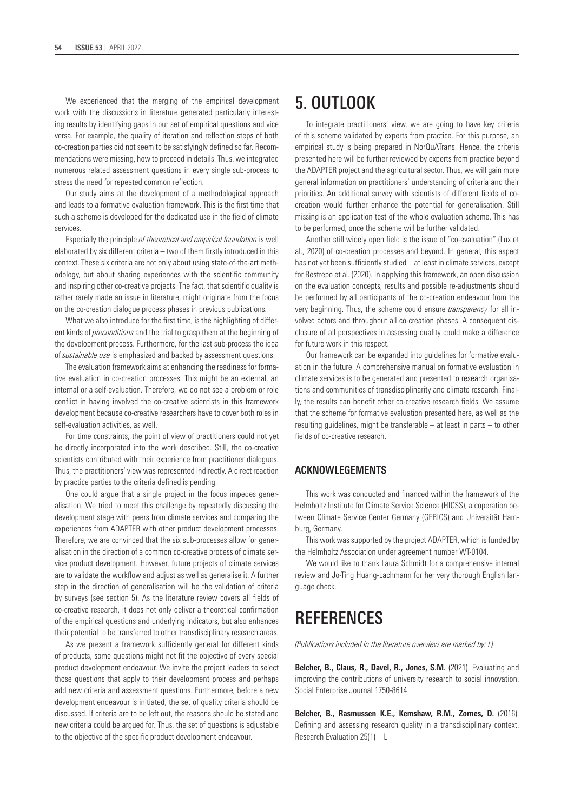We experienced that the merging of the empirical development work with the discussions in literature generated particularly interesting results by identifying gaps in our set of empirical questions and vice versa. For example, the quality of iteration and reflection steps of both co-creation parties did not seem to be satisfyingly defined so far. Recommendations were missing, how to proceed in details. Thus, we integrated numerous related assessment questions in every single sub-process to stress the need for repeated common reflection.

Our study aims at the development of a methodological approach and leads to a formative evaluation framework. This is the first time that such a scheme is developed for the dedicated use in the field of climate services.

Especially the principle *of theoretical and empirical foundation* is well elaborated by six different criteria – two of them firstly introduced in this context. These six criteria are not only about using state-of-the-art methodology, but about sharing experiences with the scientific community and inspiring other co-creative projects. The fact, that scientific quality is rather rarely made an issue in literature, might originate from the focus on the co-creation dialogue process phases in previous publications.

What we also introduce for the first time, is the highlighting of different kinds of *preconditions* and the trial to grasp them at the beginning of the development process. Furthermore, for the last sub-process the idea of *sustainable use* is emphasized and backed by assessment questions.

The evaluation framework aims at enhancing the readiness for formative evaluation in co-creation processes. This might be an external, an internal or a self-evaluation. Therefore, we do not see a problem or role conflict in having involved the co-creative scientists in this framework development because co-creative researchers have to cover both roles in self-evaluation activities, as well.

For time constraints, the point of view of practitioners could not yet be directly incorporated into the work described. Still, the co-creative scientists contributed with their experience from practitioner dialogues. Thus, the practitioners' view was represented indirectly. A direct reaction by practice parties to the criteria defined is pending.

One could argue that a single project in the focus impedes generalisation. We tried to meet this challenge by repeatedly discussing the development stage with peers from climate services and comparing the experiences from ADAPTER with other product development processes. Therefore, we are convinced that the six sub-processes allow for generalisation in the direction of a common co-creative process of climate service product development. However, future projects of climate services are to validate the workflow and adjust as well as generalise it. A further step in the direction of generalisation will be the validation of criteria by surveys (see section 5). As the literature review covers all fields of co-creative research, it does not only deliver a theoretical confirmation of the empirical questions and underlying indicators, but also enhances their potential to be transferred to other transdisciplinary research areas.

As we present a framework sufficiently general for different kinds of products, some questions might not fit the objective of every special product development endeavour. We invite the project leaders to select those questions that apply to their development process and perhaps add new criteria and assessment questions. Furthermore, before a new development endeavour is initiated, the set of quality criteria should be discussed. If criteria are to be left out, the reasons should be stated and new criteria could be argued for. Thus, the set of questions is adjustable to the objective of the specific product development endeavour.

# 5. OUTLOOK

To integrate practitioners' view, we are going to have key criteria of this scheme validated by experts from practice. For this purpose, an empirical study is being prepared in NorQuATrans. Hence, the criteria presented here will be further reviewed by experts from practice beyond the ADAPTER project and the agricultural sector. Thus, we will gain more general information on practitioners' understanding of criteria and their priorities. An additional survey with scientists of different fields of cocreation would further enhance the potential for generalisation. Still missing is an application test of the whole evaluation scheme. This has to be performed, once the scheme will be further validated.

Another still widely open field is the issue of "co-evaluation" (Lux et al., 2020) of co-creation processes and beyond. In general, this aspect has not yet been sufficiently studied – at least in climate services, except for Restrepo et al. (2020). In applying this framework, an open discussion on the evaluation concepts, results and possible re-adjustments should be performed by all participants of the co-creation endeavour from the very beginning. Thus, the scheme could ensure *transparency* for all involved actors and throughout all co-creation phases. A consequent disclosure of all perspectives in assessing quality could make a difference for future work in this respect.

Our framework can be expanded into guidelines for formative evaluation in the future. A comprehensive manual on formative evaluation in climate services is to be generated and presented to research organisations and communities of transdisciplinarity and climate research. Finally, the results can benefit other co-creative research fields. We assume that the scheme for formative evaluation presented here, as well as the resulting guidelines, might be transferable – at least in parts – to other fields of co-creative research.

# **ACKNOWLEGEMENTS**

This work was conducted and financed within the framework of the Helmholtz Institute for Climate Service Science (HICSS), a coperation between Climate Service Center Germany (GERICS) and Universität Hamburg, Germany.

This work was supported by the project ADAPTER, which is funded by the Helmholtz Association under agreement number WT-0104.

We would like to thank Laura Schmidt for a comprehensive internal review and Jo-Ting Huang-Lachmann for her very thorough English language check.

# **REFERENCES**

*(Publications included in the literature overview are marked by: L)*

**Belcher, B., Claus, R., Davel, R., Jones, S.M.** (2021). Evaluating and improving the contributions of university research to social innovation. Social Enterprise Journal 1750-8614

**Belcher, B., Rasmussen K.E., Kemshaw, R.M., Zornes, D.** (2016). Defining and assessing research quality in a transdisciplinary context. Research Evaluation 25(1) – L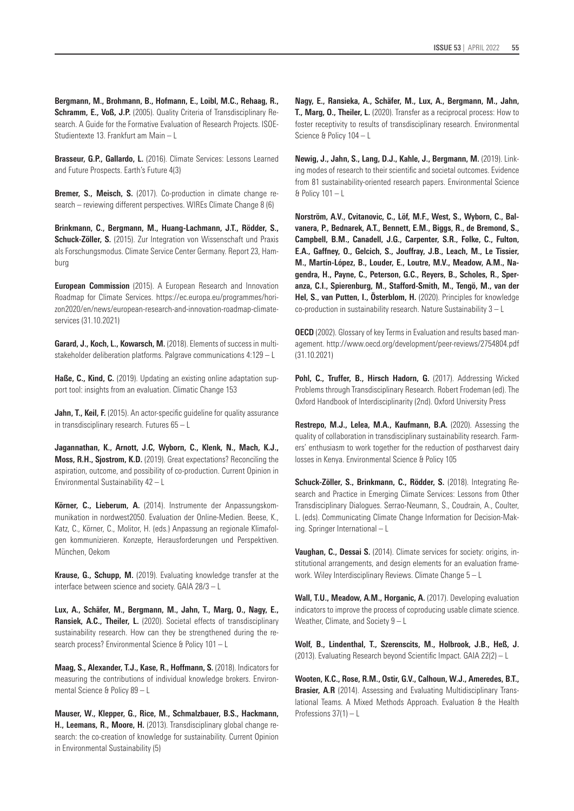**Bergmann, M., Brohmann, B., Hofmann, E., Loibl, M.C., Rehaag, R., Schramm, E., Voß, J.P.** (2005). Quality Criteria of Transdisciplinary Research. A Guide for the Formative Evaluation of Research Projects. ISOE-Studientexte 13. Frankfurt am Main – L

**Brasseur, G.P., Gallardo, L.** (2016). Climate Services: Lessons Learned and Future Prospects. Earth's Future 4(3)

**Bremer, S., Meisch, S.** (2017). Co-production in climate change research – reviewing different perspectives. WIREs Climate Change 8 (6)

**Brinkmann, C., Bergmann, M., Huang-Lachmann, J.T., Rödder, S., Schuck-Zöller, S.** (2015). Zur Integration von Wissenschaft und Praxis als Forschungsmodus. Climate Service Center Germany. Report 23, Hamburg

**European Commission** (2015). A European Research and Innovation Roadmap for Climate Services. [https://ec.europa.eu/programmes/hori](https://ec.europa.eu/programmes/horizon2020/en/news/european-research-and-innovation-roadmap-climate-services)[zon2020/en/news/european-research-and-innovation-roadmap-climate](https://ec.europa.eu/programmes/horizon2020/en/news/european-research-and-innovation-roadmap-climate-services)[services](https://ec.europa.eu/programmes/horizon2020/en/news/european-research-and-innovation-roadmap-climate-services) (31.10.2021)

**Garard, J., Koch, L., Kowarsch, M.** (2018). Elements of success in multistakeholder deliberation platforms. Palgrave communications 4:129 – L

**Haße, C., Kind, C.** (2019). Updating an existing online adaptation support tool: insights from an evaluation. Climatic Change 153

**Jahn, T., Keil, F.** (2015). An actor-specific guideline for quality assurance in transdisciplinary research. Futures 65 – L

**Jagannathan, K., Arnott, J.C, Wyborn, C., Klenk, N., Mach, K.J., Moss, R.H., Sjostrom, K.D.** (2019). Great expectations? Reconciling the aspiration, outcome, and possibility of co-production. Current Opinion in Environmental Sustainability 42 – L

**Körner, C., Lieberum, A.** (2014). Instrumente der Anpassungskommunikation in nordwest2050. Evaluation der Online-Medien. Beese, K., Katz, C., Körner, C., Molitor, H. (eds.) Anpassung an regionale Klimafolgen kommunizieren. Konzepte, Herausforderungen und Perspektiven. München, Oekom

**Krause, G., Schupp, M.** (2019). Evaluating knowledge transfer at the interface between science and society. GAIA 28/3 – L

**Lux, A., Schäfer, M., Bergmann, M., Jahn, T., Marg, O., Nagy, E., Ransiek, A.C., Theiler, L.** (2020). Societal effects of transdisciplinary sustainability research. How can they be strengthened during the research process? Environmental Science & Policy 101 – L

**Maag, S., Alexander, T.J., Kase, R., Hoffmann, S.** (2018). Indicators for measuring the contributions of individual knowledge brokers. Environmental Science & Policy 89 – L

**Mauser, W., Klepper, G., Rice, M., Schmalzbauer, B.S., Hackmann, H., Leemans, R., Moore, H.** (2013). Transdisciplinary global change research: the co-creation of knowledge for sustainability. Current Opinion in Environmental Sustainability (5)

**Nagy, E., Ransieka, A., Schäfer, M., Lux, A., Bergmann, M., Jahn, T., Marg, O., Theiler, L.** (2020). Transfer as a reciprocal process: How to foster receptivity to results of transdisciplinary research. Environmental Science & Policy 104 – L

**Newig, J., Jahn, S., Lang, D.J., Kahle, J., Bergmann, M.** (2019). Linking modes of research to their scientific and societal outcomes. Evidence from 81 sustainability-oriented research papers. Environmental Science & Policy 101 – L

**Norström, A.V., Cvitanovic, C., Löf, M.F., West, S., Wyborn, C., Balvanera, P., Bednarek, A.T., Bennett, E.M., Biggs, R., de Bremond, S., Campbell, B.M., Canadell, J.G., Carpenter, S.R., Folke, C., Fulton, E.A., Gaffney, O., Gelcich, S., Jouffray, J.B., Leach, M., Le Tissier, M., Martín-López, B., Louder, E., Loutre, M.V., Meadow, A.M., Nagendra, H., Payne, C., Peterson, G.C., Reyers, B., Scholes, R., Speranza, C.I., Spierenburg, M., Stafford-Smith, M., Tengö, M., van der Hel, S., van Putten, I., Österblom, H.** (2020). Principles for knowledge co-production in sustainability research. Nature Sustainability 3 – L

**OECD** (2002). Glossary of key Terms in Evaluation and results based management. <http://www.oecd.org/development/peer-reviews/2754804.pdf> (31.10.2021)

Pohl, C., Truffer, B., Hirsch Hadorn, G. (2017). Addressing Wicked Problems through Transdisciplinary Research. Robert Frodeman (ed). The Oxford Handbook of Interdisciplinarity (2nd). Oxford University Press

**Restrepo, M.J., Lelea, M.A., Kaufmann, B.A.** (2020). Assessing the quality of collaboration in transdisciplinary sustainability research. Farmers' enthusiasm to work together for the reduction of postharvest dairy losses in Kenya. Environmental Science & Policy 105

Schuck-Zöller, S., Brinkmann, C., Rödder, S. (2018). Integrating Research and Practice in Emerging Climate Services: Lessons from Other Transdisciplinary Dialogues. Serrao-Neumann, S., Coudrain, A., Coulter, L. (eds). Communicating Climate Change Information for Decision-Making. Springer International – L

**Vaughan, C., Dessai S.** (2014). Climate services for society: origins, institutional arrangements, and design elements for an evaluation framework. Wiley Interdisciplinary Reviews. Climate Change 5 – L

**Wall, T.U., Meadow, A.M., Horganic, A.** (2017). Developing evaluation indicators to improve the process of coproducing usable climate science. Weather, Climate, and Society 9 – L

**Wolf, B., Lindenthal, T., Szerenscits, M., Holbrook, J.B., Heß, J.** (2013). Evaluating Research beyond Scientific Impact. GAIA 22(2) – L

**Wooten, K.C., Rose, R.M., Ostir, G.V., Calhoun, W.J., Ameredes, B.T., Brasier, A.R** (2014). Assessing and Evaluating Multidisciplinary Translational Teams. A Mixed Methods Approach. Evaluation & the Health Professions 37(1) – L